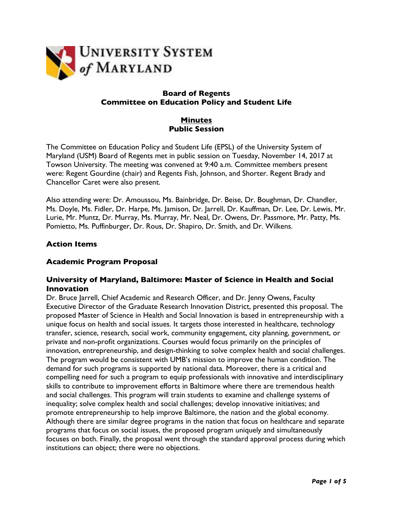

# **Board of Regents Committee on Education Policy and Student Life**

# **Minutes Public Session**

The Committee on Education Policy and Student Life (EPSL) of the University System of Maryland (USM) Board of Regents met in public session on Tuesday, November 14, 2017 at Towson University. The meeting was convened at 9:40 a.m. Committee members present were: Regent Gourdine (chair) and Regents Fish, Johnson, and Shorter. Regent Brady and Chancellor Caret were also present.

Also attending were: Dr. Amoussou, Ms. Bainbridge, Dr. Beise, Dr. Boughman, Dr. Chandler, Ms. Doyle, Ms. Fidler, Dr. Harpe, Ms. Jamison, Dr. Jarrell, Dr. Kauffman, Dr. Lee, Dr. Lewis, Mr. Lurie, Mr. Muntz, Dr. Murray, Ms. Murray, Mr. Neal, Dr. Owens, Dr. Passmore, Mr. Patty, Ms. Pomietto, Ms. Puffinburger, Dr. Rous, Dr. Shapiro, Dr. Smith, and Dr. Wilkens.

### **Action Items**

# **Academic Program Proposal**

### **University of Maryland, Baltimore: Master of Science in Health and Social Innovation**

Dr. Bruce Jarrell, Chief Academic and Research Officer, and Dr. Jenny Owens, Faculty Executive Director of the Graduate Research Innovation District, presented this proposal. The proposed Master of Science in Health and Social Innovation is based in entrepreneurship with a unique focus on health and social issues. It targets those interested in healthcare, technology transfer, science, research, social work, community engagement, city planning, government, or private and non-profit organizations. Courses would focus primarily on the principles of innovation, entrepreneurship, and design-thinking to solve complex health and social challenges. The program would be consistent with UMB's mission to improve the human condition. The demand for such programs is supported by national data. Moreover, there is a critical and compelling need for such a program to equip professionals with innovative and interdisciplinary skills to contribute to improvement efforts in Baltimore where there are tremendous health and social challenges. This program will train students to examine and challenge systems of inequality; solve complex health and social challenges; develop innovative initiatives; and promote entrepreneurship to help improve Baltimore, the nation and the global economy. Although there are similar degree programs in the nation that focus on healthcare and separate programs that focus on social issues, the proposed program uniquely and simultaneously focuses on both. Finally, the proposal went through the standard approval process during which institutions can object; there were no objections.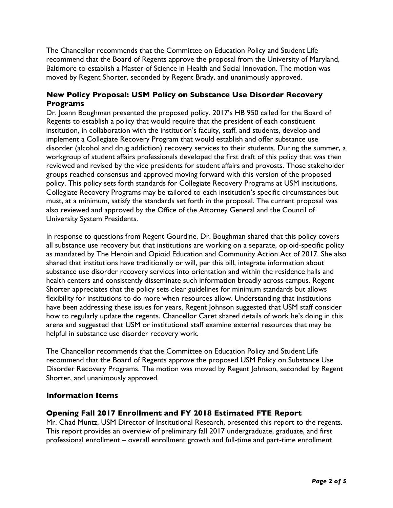The Chancellor recommends that the Committee on Education Policy and Student Life recommend that the Board of Regents approve the proposal from the University of Maryland, Baltimore to establish a Master of Science in Health and Social Innovation. The motion was moved by Regent Shorter, seconded by Regent Brady, and unanimously approved.

# **New Policy Proposal: USM Policy on Substance Use Disorder Recovery Programs**

Dr. Joann Boughman presented the proposed policy. 2017's HB 950 called for the Board of Regents to establish a policy that would require that the president of each constituent institution, in collaboration with the institution's faculty, staff, and students, develop and implement a Collegiate Recovery Program that would establish and offer substance use disorder (alcohol and drug addiction) recovery services to their students. During the summer, a workgroup of student affairs professionals developed the first draft of this policy that was then reviewed and revised by the vice presidents for student affairs and provosts. Those stakeholder groups reached consensus and approved moving forward with this version of the proposed policy. This policy sets forth standards for Collegiate Recovery Programs at USM institutions. Collegiate Recovery Programs may be tailored to each institution's specific circumstances but must, at a minimum, satisfy the standards set forth in the proposal. The current proposal was also reviewed and approved by the Office of the Attorney General and the Council of University System Presidents.

In response to questions from Regent Gourdine, Dr. Boughman shared that this policy covers all substance use recovery but that institutions are working on a separate, opioid-specific policy as mandated by The Heroin and Opioid Education and Community Action Act of 2017. She also shared that institutions have traditionally or will, per this bill, integrate information about substance use disorder recovery services into orientation and within the residence halls and health centers and consistently disseminate such information broadly across campus. Regent Shorter appreciates that the policy sets clear guidelines for minimum standards but allows flexibility for institutions to do more when resources allow. Understanding that institutions have been addressing these issues for years, Regent Johnson suggested that USM staff consider how to regularly update the regents. Chancellor Caret shared details of work he's doing in this arena and suggested that USM or institutional staff examine external resources that may be helpful in substance use disorder recovery work.

The Chancellor recommends that the Committee on Education Policy and Student Life recommend that the Board of Regents approve the proposed USM Policy on Substance Use Disorder Recovery Programs. The motion was moved by Regent Johnson, seconded by Regent Shorter, and unanimously approved.

# **Information Items**

#### **Opening Fall 2017 Enrollment and FY 2018 Estimated FTE Report**

Mr. Chad Muntz, USM Director of Institutional Research, presented this report to the regents. This report provides an overview of preliminary fall 2017 undergraduate, graduate, and first professional enrollment – overall enrollment growth and full-time and part-time enrollment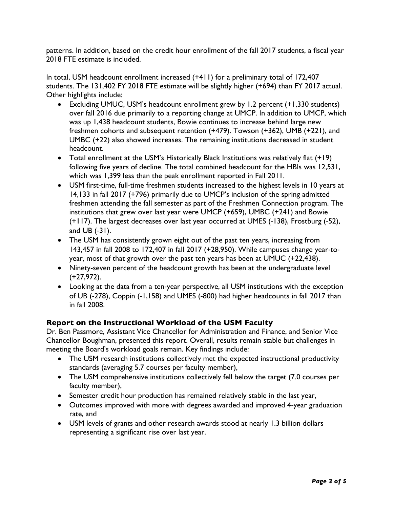patterns. In addition, based on the credit hour enrollment of the fall 2017 students, a fiscal year 2018 FTE estimate is included.

In total, USM headcount enrollment increased (+411) for a preliminary total of 172,407 students. The 131,402 FY 2018 FTE estimate will be slightly higher (+694) than FY 2017 actual. Other highlights include:

- Excluding UMUC, USM's headcount enrollment grew by 1.2 percent (+1,330 students) over fall 2016 due primarily to a reporting change at UMCP. In addition to UMCP, which was up 1,438 headcount students, Bowie continues to increase behind large new freshmen cohorts and subsequent retention (+479). Towson (+362), UMB (+221), and UMBC (+22) also showed increases. The remaining institutions decreased in student headcount.
- Total enrollment at the USM's Historically Black Institutions was relatively flat (+19) following five years of decline. The total combined headcount for the HBIs was 12,531, which was 1,399 less than the peak enrollment reported in Fall 2011.
- USM first-time, full-time freshmen students increased to the highest levels in 10 years at 14,133 in fall 2017 (+796) primarily due to UMCP's inclusion of the spring admitted freshmen attending the fall semester as part of the Freshmen Connection program. The institutions that grew over last year were UMCP (+659), UMBC (+241) and Bowie (+117). The largest decreases over last year occurred at UMES (-138), Frostburg (-52), and UB (-31).
- The USM has consistently grown eight out of the past ten years, increasing from 143,457 in fall 2008 to 172,407 in fall 2017 (+28,950). While campuses change year-toyear, most of that growth over the past ten years has been at UMUC (+22,438).
- Ninety-seven percent of the headcount growth has been at the undergraduate level (+27,972).
- Looking at the data from a ten-year perspective, all USM institutions with the exception of UB (-278), Coppin (-1,158) and UMES (-800) had higher headcounts in fall 2017 than in fall 2008.

# **Report on the Instructional Workload of the USM Faculty**

Dr. Ben Passmore, Assistant Vice Chancellor for Administration and Finance, and Senior Vice Chancellor Boughman, presented this report. Overall, results remain stable but challenges in meeting the Board's workload goals remain. Key findings include:

- The USM research institutions collectively met the expected instructional productivity standards (averaging 5.7 courses per faculty member),
- The USM comprehensive institutions collectively fell below the target (7.0 courses per faculty member),
- Semester credit hour production has remained relatively stable in the last year,
- Outcomes improved with more with degrees awarded and improved 4-year graduation rate, and
- USM levels of grants and other research awards stood at nearly 1.3 billion dollars representing a significant rise over last year.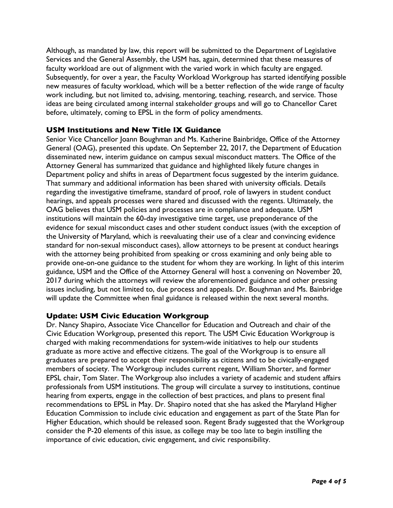Although, as mandated by law, this report will be submitted to the Department of Legislative Services and the General Assembly, the USM has, again, determined that these measures of faculty workload are out of alignment with the varied work in which faculty are engaged. Subsequently, for over a year, the Faculty Workload Workgroup has started identifying possible new measures of faculty workload, which will be a better reflection of the wide range of faculty work including, but not limited to, advising, mentoring, teaching, research, and service. Those ideas are being circulated among internal stakeholder groups and will go to Chancellor Caret before, ultimately, coming to EPSL in the form of policy amendments.

### **USM Institutions and New Title IX Guidance**

Senior Vice Chancellor Joann Boughman and Ms. Katherine Bainbridge, Office of the Attorney General (OAG), presented this update. On September 22, 2017, the Department of Education disseminated new, interim guidance on campus sexual misconduct matters. The Office of the Attorney General has summarized that guidance and highlighted likely future changes in Department policy and shifts in areas of Department focus suggested by the interim guidance. That summary and additional information has been shared with university officials. Details regarding the investigative timeframe, standard of proof, role of lawyers in student conduct hearings, and appeals processes were shared and discussed with the regents. Ultimately, the OAG believes that USM policies and processes are in compliance and adequate. USM institutions will maintain the 60-day investigative time target, use preponderance of the evidence for sexual misconduct cases and other student conduct issues (with the exception of the University of Maryland, which is reevaluating their use of a clear and convincing evidence standard for non-sexual misconduct cases), allow attorneys to be present at conduct hearings with the attorney being prohibited from speaking or cross examining and only being able to provide one-on-one guidance to the student for whom they are working. In light of this interim guidance, USM and the Office of the Attorney General will host a convening on November 20, 2017 during which the attorneys will review the aforementioned guidance and other pressing issues including, but not limited to, due process and appeals. Dr. Boughman and Ms. Bainbridge will update the Committee when final guidance is released within the next several months.

#### **Update: USM Civic Education Workgroup**

Dr. Nancy Shapiro, Associate Vice Chancellor for Education and Outreach and chair of the Civic Education Workgroup, presented this report. The USM Civic Education Workgroup is charged with making recommendations for system-wide initiatives to help our students graduate as more active and effective citizens. The goal of the Workgroup is to ensure all graduates are prepared to accept their responsibility as citizens and to be civically-engaged members of society. The Workgroup includes current regent, William Shorter, and former EPSL chair, Tom Slater. The Workgroup also includes a variety of academic and student affairs professionals from USM institutions. The group will circulate a survey to institutions, continue hearing from experts, engage in the collection of best practices, and plans to present final recommendations to EPSL in May. Dr. Shapiro noted that she has asked the Maryland Higher Education Commission to include civic education and engagement as part of the State Plan for Higher Education, which should be released soon. Regent Brady suggested that the Workgroup consider the P-20 elements of this issue, as college may be too late to begin instilling the importance of civic education, civic engagement, and civic responsibility.